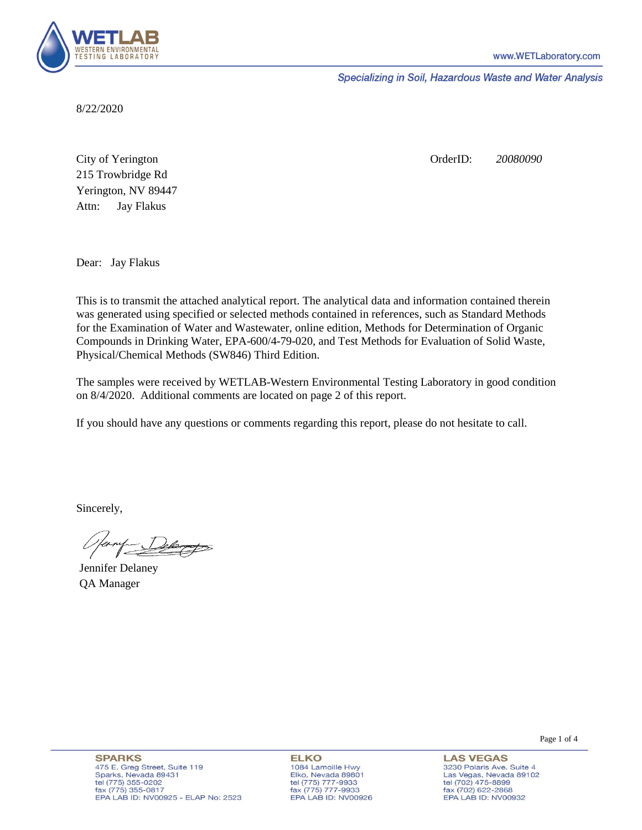

Specializing in Soil, Hazardous Waste and Water Analysis

8/22/2020

Attn: City of Yerington 215 Trowbridge Rd Jay Flakus Yerington, NV 89447 OrderID: *20080090*

Dear: Jay Flakus

This is to transmit the attached analytical report. The analytical data and information contained therein was generated using specified or selected methods contained in references, such as Standard Methods for the Examination of Water and Wastewater, online edition, Methods for Determination of Organic Compounds in Drinking Water, EPA-600/4-79-020, and Test Methods for Evaluation of Solid Waste, Physical/Chemical Methods (SW846) Third Edition.

The samples were received by WETLAB-Western Environmental Testing Laboratory in good condition on 8/4/2020. Additional comments are located on page 2 of this report.

If you should have any questions or comments regarding this report, please do not hesitate to call.

Sincerely,

Delarge

Jennifer Delaney QA Manager

**ELKO** 1084 Lamoille Hwy Elko, Nevada 89801 tel (775) 777-9933<br>fax (775) 777-9933 EPA LAB ID: NV00926 **LAS VEGAS** 3230 Polaris Ave. Suite 4 Las Vegas, Nevada 89102 tel (702) 475-8899 fax (702) 622-2868 EPA LAB ID: NV00932

Page 1 of 4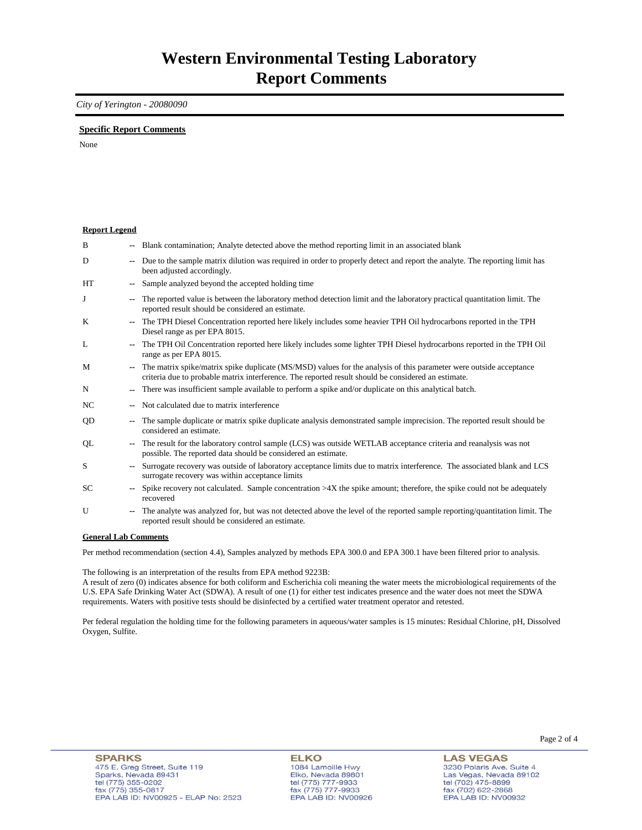## *City of Yerington - 20080090*

### **Specific Report Comments**

None

| <b>Report Legend</b> |                          |                                                                                                                                                                                                                           |
|----------------------|--------------------------|---------------------------------------------------------------------------------------------------------------------------------------------------------------------------------------------------------------------------|
| B                    |                          | Blank contamination; Analyte detected above the method reporting limit in an associated blank                                                                                                                             |
| D                    |                          | Due to the sample matrix dilution was required in order to properly detect and report the analyte. The reporting limit has<br>been adjusted accordingly.                                                                  |
| <b>HT</b>            | $\overline{\phantom{a}}$ | Sample analyzed beyond the accepted holding time                                                                                                                                                                          |
| J                    | $\overline{\phantom{a}}$ | The reported value is between the laboratory method detection limit and the laboratory practical quantitation limit. The<br>reported result should be considered an estimate.                                             |
| K                    |                          | The TPH Diesel Concentration reported here likely includes some heavier TPH Oil hydrocarbons reported in the TPH<br>Diesel range as per EPA 8015.                                                                         |
| L                    |                          | The TPH Oil Concentration reported here likely includes some lighter TPH Diesel hydrocarbons reported in the TPH Oil<br>range as per EPA 8015.                                                                            |
| M                    | $\mathbf{u}$             | The matrix spike/matrix spike duplicate (MS/MSD) values for the analysis of this parameter were outside acceptance<br>criteria due to probable matrix interference. The reported result should be considered an estimate. |
| N                    | $\overline{\phantom{a}}$ | There was insufficient sample available to perform a spike and/or duplicate on this analytical batch.                                                                                                                     |
| NC.                  |                          | Not calculated due to matrix interference                                                                                                                                                                                 |
| QD                   |                          | The sample duplicate or matrix spike duplicate analysis demonstrated sample imprecision. The reported result should be<br>considered an estimate.                                                                         |
| QL                   |                          | The result for the laboratory control sample (LCS) was outside WETLAB acceptance criteria and reanalysis was not<br>possible. The reported data should be considered an estimate.                                         |
| S                    |                          | Surrogate recovery was outside of laboratory acceptance limits due to matrix interference. The associated blank and LCS<br>surrogate recovery was within acceptance limits                                                |
| SC.                  |                          | Spike recovery not calculated. Sample concentration $>4X$ the spike amount; therefore, the spike could not be adequately<br>recovered                                                                                     |
| U                    | $\overline{\phantom{a}}$ | The analyte was analyzed for, but was not detected above the level of the reported sample reporting/quantitation limit. The<br>reported result should be considered an estimate.                                          |
| Conoral Lah Commonte |                          |                                                                                                                                                                                                                           |

#### **General Lab Comments**

Per method recommendation (section 4.4), Samples analyzed by methods EPA 300.0 and EPA 300.1 have been filtered prior to analysis.

The following is an interpretation of the results from EPA method 9223B:

A result of zero (0) indicates absence for both coliform and Escherichia coli meaning the water meets the microbiological requirements of the U.S. EPA Safe Drinking Water Act (SDWA). A result of one (1) for either test indicates presence and the water does not meet the SDWA requirements. Waters with positive tests should be disinfected by a certified water treatment operator and retested.

Per federal regulation the holding time for the following parameters in aqueous/water samples is 15 minutes: Residual Chlorine, pH, Dissolved Oxygen, Sulfite.

**LAS VEGAS** 3230 Polaris Ave. Suite 4 Las Vegas, Nevada 89102 tel (702) 475-8899 fax (702) 622-2868 EPA LAB ID: NV00932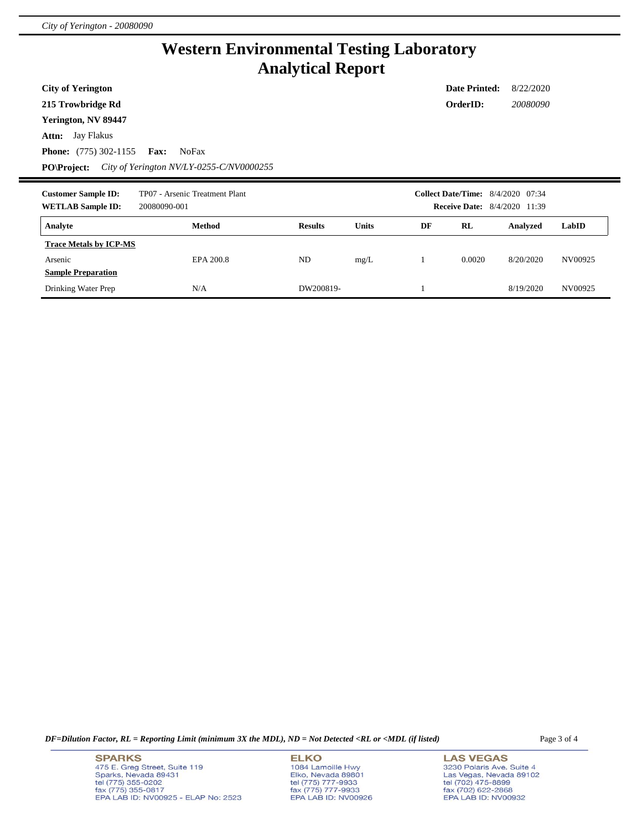## **Western Environmental Testing Laboratory Analytical Report**

**City of Yerington**

**215 Trowbridge Rd**

**Yerington, NV 89447**

**Attn:** Jay Flakus

**Phone:** (775) 302-1155 **Fax:** NoFax

**PO\Project:** *City of Yerington NV/LY-0255-C/NV0000255*

| <b>Customer Sample ID:</b><br><b>WETLAB Sample ID:</b> | TP07 - Arsenic Treatment Plant<br>20080090-001 |                |              |    |        | <b>Collect Date/Time:</b> 8/4/2020 07:34<br><b>Receive Date:</b> 8/4/2020 11:39 |         |
|--------------------------------------------------------|------------------------------------------------|----------------|--------------|----|--------|---------------------------------------------------------------------------------|---------|
| Analyte                                                | Method                                         | <b>Results</b> | <b>Units</b> | DF | RL     | Analyzed                                                                        | LabID   |
| <b>Trace Metals by ICP-MS</b>                          |                                                |                |              |    |        |                                                                                 |         |
| Arsenic                                                | EPA 200.8                                      | <b>ND</b>      | mg/L         |    | 0.0020 | 8/20/2020                                                                       | NV00925 |
| <b>Sample Preparation</b>                              |                                                |                |              |    |        |                                                                                 |         |
| Drinking Water Prep                                    | N/A                                            | DW200819-      |              |    |        | 8/19/2020                                                                       | NV00925 |

*DF=Dilution Factor, RL = Reporting Limit (minimum 3X the MDL), ND = Not Detected <RL or <MDL (if listed)* Page 3 of 4

**SPARKS** 475 E. Greg Street, Suite 119<br>Sparks, Nevada 89431 tel (775) 355-0202 fax (775) 355-0817<br>EPA LAB ID: NV00925 - ELAP No: 2523

**ELKO** 1084 Lamoille Hwy Elko, Nevada 89801 tel (775) 777-9933<br>fax (775) 777-9933<br>EPA LAB ID: NV00926

**LAS VEGAS** 3230 Polaris Ave. Suite 4 3230 Poiaris Ave. Suite 4<br>Las Vegas, Nevada 89102<br>tel (702) 475-8899<br>fax (702) 622-2868<br>EPA LAB ID: NV00932

**Date Printed:** 8/22/2020 **OrderID:** *20080090*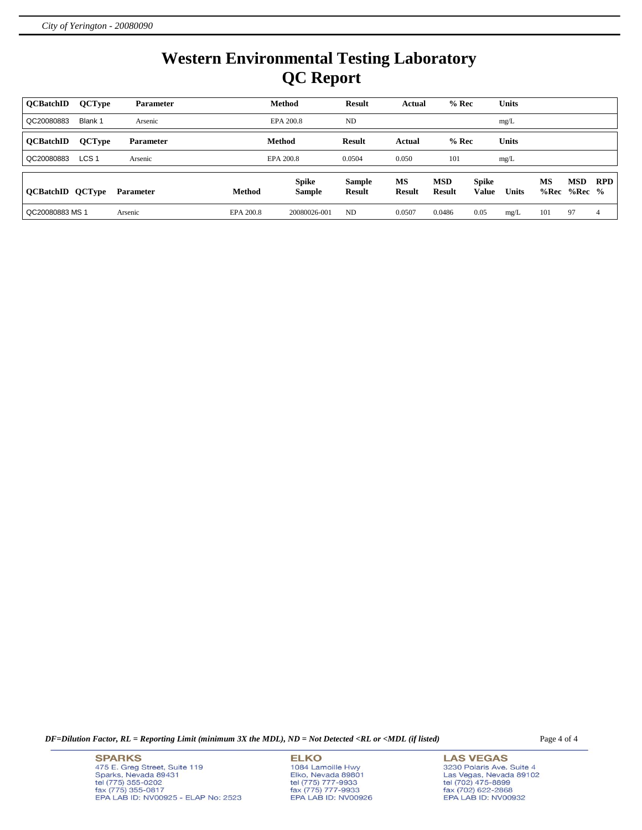# **Western Environmental Testing Laboratory QC Report**

| <b>OCBatchID</b>        | <b>QCType</b>    | <b>Parameter</b> |           | <b>Method</b>                 | <b>Result</b>                  | <b>Actual</b>              | $%$ Rec                     |                       | Units        |            |                        |            |
|-------------------------|------------------|------------------|-----------|-------------------------------|--------------------------------|----------------------------|-----------------------------|-----------------------|--------------|------------|------------------------|------------|
| QC20080883              | Blank 1          | Arsenic          |           | EPA 200.8                     | ND                             |                            |                             |                       | mg/L         |            |                        |            |
| <b>OCBatchID</b>        | <b>QCType</b>    | <b>Parameter</b> |           | Method                        | <b>Result</b>                  | Actual                     | $%$ Rec                     |                       | Units        |            |                        |            |
| QC20080883              | LCS <sub>1</sub> | Arsenic          |           | EPA 200.8                     | 0.0504                         | 0.050                      | 101                         |                       | mg/L         |            |                        |            |
| <b>QCBatchID QCType</b> |                  | <b>Parameter</b> | Method    | <b>Spike</b><br><b>Sample</b> | <b>Sample</b><br><b>Result</b> | <b>MS</b><br><b>Result</b> | <b>MSD</b><br><b>Result</b> | <b>Spike</b><br>Value | <b>Units</b> | MS<br>%Rec | <b>MSD</b><br>$%Rec$ % | <b>RPD</b> |
| QC20080883 MS 1         |                  | Arsenic          | EPA 200.8 | 20080026-001                  | ND                             | 0.0507                     | 0.0486                      | 0.05                  | mg/L         | 101        | 97                     | 4          |

*DF=Dilution Factor, RL = Reporting Limit (minimum 3X the MDL), ND = Not Detected <RL or <MDL (if listed)* Page 4 of 4

**SPARKS** 475 E. Greg Street, Suite 119<br>Sparks, Nevada 89431 bel (775) 355-0202<br>fax (775) 355-0202<br>EPA LAB ID: NV00925 - ELAP No: 2523

**ELKO** 1084 Lamoille Hwy<br>Elko, Nevada 89801 tel (775) 777-9933<br>fax (775) 777-9933<br>EPA LAB ID: NV00926

**LAS VEGAS** 3230 Polaris Ave. Suite 4 3230 Poiaris Ave. Suite 4<br>Las Vegas, Nevada 89102<br>tel (702) 475-8899<br>fax (702) 622-2868<br>EPA LAB ID: NV00932